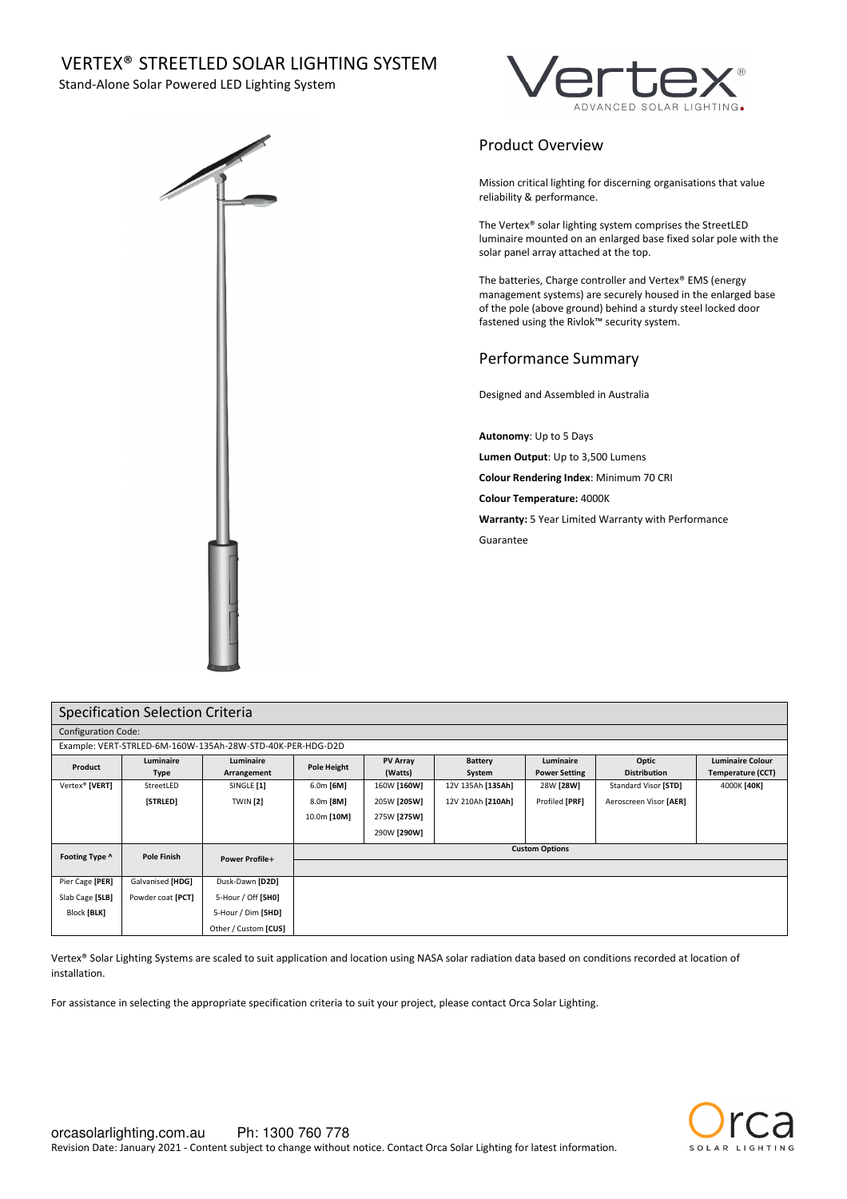# VERTEX® STREETLED SOLAR LIGHTING SYSTEM

Stand-Alone Solar Powered LED Lighting System



# Product Overview

Mission critical lighting for discerning organisations that value reliability & performance.

The Vertex® solar lighting system comprises the StreetLED luminaire mounted on an enlarged base fixed solar pole with the solar panel array attached at the top.

The batteries, Charge controller and Vertex® EMS (energy management systems) are securely housed in the enlarged base of the pole (above ground) behind a sturdy steel locked door fastened using the Rivlok™ security system.

# Performance Summary

Designed and Assembled in Australia

**Autonomy**: Up to 5 Days

**Lumen Output**: Up to 3,500 Lumens

**Colour Rendering Index**: Minimum 70 CRI

**Colour Temperature:** 4000K

**Warranty:** 5 Year Limited Warranty with Performance Guarantee

| Specification Selection Criteria                           |                          |                          |                       |                            |                          |                                   |                              |                                                     |  |
|------------------------------------------------------------|--------------------------|--------------------------|-----------------------|----------------------------|--------------------------|-----------------------------------|------------------------------|-----------------------------------------------------|--|
| <b>Configuration Code:</b>                                 |                          |                          |                       |                            |                          |                                   |                              |                                                     |  |
| Example: VERT-STRLED-6M-160W-135Ah-28W-STD-40K-PER-HDG-D2D |                          |                          |                       |                            |                          |                                   |                              |                                                     |  |
| Product                                                    | Luminaire<br><b>Type</b> | Luminaire<br>Arrangement | Pole Height           | <b>PV Array</b><br>(Watts) | <b>Battery</b><br>System | Luminaire<br><b>Power Setting</b> | Optic<br><b>Distribution</b> | <b>Luminaire Colour</b><br><b>Temperature (CCT)</b> |  |
| Vertex <sup>®</sup> [VERT]                                 | StreetLED                | SINGLE [1]               | $6.0m$ [6M]           | 160W [160W]                | 12V 135Ah [135Ah]        | 28W [28W]                         | Standard Visor [STD]         | 4000K [40K]                                         |  |
|                                                            | [STRLED]                 | <b>TWIN</b> [2]          | 8.0m [8M]             | 205W [205W]                | 12V 210Ah [210Ah]        | Profiled [PRF]                    | Aeroscreen Visor [AER]       |                                                     |  |
|                                                            |                          |                          | 10.0m [10M]           | 275W [275W]                |                          |                                   |                              |                                                     |  |
|                                                            |                          |                          |                       | 290W [290W]                |                          |                                   |                              |                                                     |  |
| Footing Type ^                                             | <b>Pole Finish</b>       | <b>Power Profile+</b>    | <b>Custom Options</b> |                            |                          |                                   |                              |                                                     |  |
|                                                            |                          |                          |                       |                            |                          |                                   |                              |                                                     |  |
| Pier Cage [PER]                                            | Galvanised [HDG]         | Dusk-Dawn [D2D]          |                       |                            |                          |                                   |                              |                                                     |  |
| Slab Cage [SLB]                                            | Powder coat [PCT]        | 5-Hour / Off [5H0]       |                       |                            |                          |                                   |                              |                                                     |  |
| Block [BLK]                                                |                          | 5-Hour / Dim [5HD]       |                       |                            |                          |                                   |                              |                                                     |  |
|                                                            |                          | Other / Custom [CUS]     |                       |                            |                          |                                   |                              |                                                     |  |

Vertex® Solar Lighting Systems are scaled to suit application and location using NASA solar radiation data based on conditions recorded at location of installation.

For assistance in selecting the appropriate specification criteria to suit your project, please contact Orca Solar Lighting.

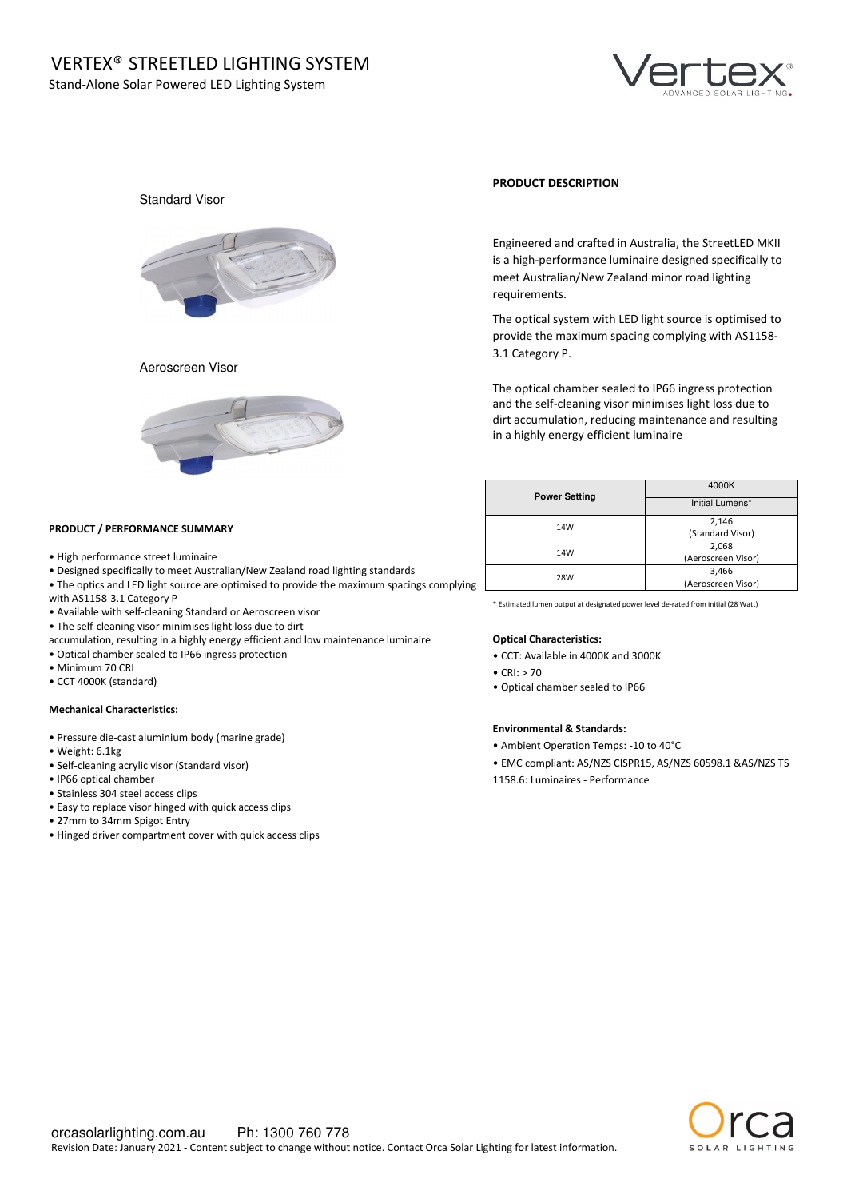

# Standard Visor



### Aeroscreen Visor



### **PRODUCT DESCRIPTION**

Engineered and crafted in Australia, the StreetLED MKII is a high-performance luminaire designed specifically to meet Australian/New Zealand minor road lighting requirements.

The optical system with LED light source is optimised to provide the maximum spacing complying with AS1158- 3.1 Category P.

The optical chamber sealed to IP66 ingress protection and the self-cleaning visor minimises light loss due to dirt accumulation, reducing maintenance and resulting in a highly energy efficient luminaire

| <b>Power Setting</b> | 4000K              |  |  |  |
|----------------------|--------------------|--|--|--|
|                      | Initial Lumens*    |  |  |  |
| 14W                  | 2,146              |  |  |  |
|                      | (Standard Visor)   |  |  |  |
| 14W                  | 2,068              |  |  |  |
|                      | (Aeroscreen Visor) |  |  |  |
|                      | 3,466              |  |  |  |
| 28W                  | (Aeroscreen Visor) |  |  |  |

\* Estimated lumen output at designated power level de-rated from initial (28 Watt)

### **Optical Characteristics:**

- CCT: Available in 4000K and 3000K
- $\bullet$  CRI $\cdot$  > 70
- Optical chamber sealed to IP66

### **Environmental & Standards:**

- Ambient Operation Temps: -10 to 40°C
- EMC compliant: AS/NZS CISPR15, AS/NZS 60598.1 &AS/NZS TS
- 1158.6: Luminaires Performance

### **PRODUCT / PERFORMANCE SUMMARY**

- High performance street luminaire
- Designed specifically to meet Australian/New Zealand road lighting standards
- The optics and LED light source are optimised to provide the maximum spacings complying
- with AS1158-3.1 Category P
- Available with self-cleaning Standard or Aeroscreen visor
- The self-cleaning visor minimises light loss due to dirt
- accumulation, resulting in a highly energy efficient and low maintenance luminaire
- Optical chamber sealed to IP66 ingress protection
- Minimum 70 CRI
- CCT 4000K (standard)

### **Mechanical Characteristics:**

- Pressure die-cast aluminium body (marine grade)
- Weight: 6.1kg
- Self-cleaning acrylic visor (Standard visor)
- IP66 optical chamber
- Stainless 304 steel access clips
- Easy to replace visor hinged with quick access clips
- 27mm to 34mm Spigot Entry
- Hinged driver compartment cover with quick access clips